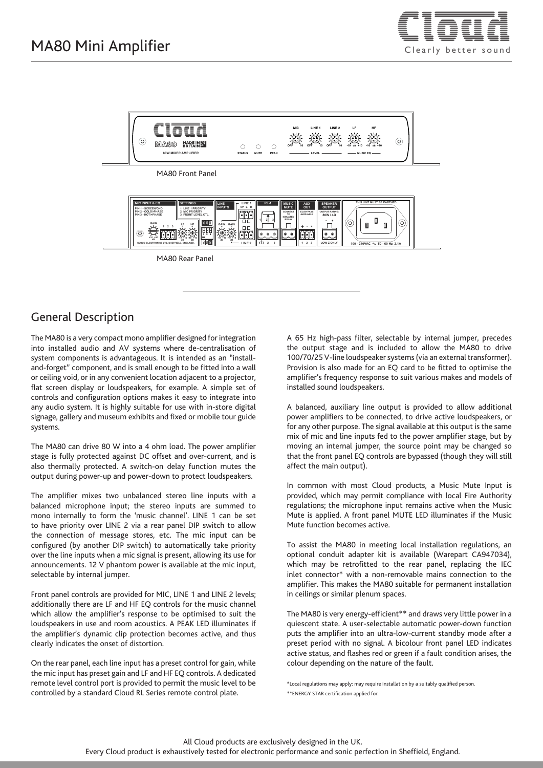



#### General Description

The MA80 is a very compact mono amplifier designed for integration into installed audio and AV systems where de-centralisation of system components is advantageous. It is intended as an "installand-forget" component, and is small enough to be fitted into a wall or ceiling void, or in any convenient location adjacent to a projector, flat screen display or loudspeakers, for example. A simple set of controls and configuration options makes it easy to integrate into any audio system. It is highly suitable for use with in-store digital signage, gallery and museum exhibits and fixed or mobile tour guide systems.

The MA80 can drive 80 W into a 4 ohm load. The power amplifier stage is fully protected against DC offset and over-current, and is also thermally protected. A switch-on delay function mutes the output during power-up and power-down to protect loudspeakers.

The amplifier mixes two unbalanced stereo line inputs with a balanced microphone input; the stereo inputs are summed to mono internally to form the 'music channel'. LINE 1 can be set to have priority over LINE 2 via a rear panel DIP switch to allow the connection of message stores, etc. The mic input can be configured (by another DIP switch) to automatically take priority over the line inputs when a mic signal is present, allowing its use for announcements. 12 V phantom power is available at the mic input, selectable by internal jumper.

Front panel controls are provided for MIC, LINE 1 and LINE 2 levels; additionally there are LF and HF EQ controls for the music channel which allow the amplifier's response to be optimised to suit the loudspeakers in use and room acoustics. A PEAK LED illuminates if the amplifier's dynamic clip protection becomes active, and thus clearly indicates the onset of distortion.

On the rear panel, each line input has a preset control for gain, while the mic input has preset gain and LF and HF EQ controls. A dedicated remote level control port is provided to permit the music level to be controlled by a standard Cloud RL Series remote control plate.

A 65 Hz high-pass filter, selectable by internal jumper, precedes the output stage and is included to allow the MA80 to drive 100/70/25 V-line loudspeaker systems (via an external transformer). Provision is also made for an EQ card to be fitted to optimise the amplifier's frequency response to suit various makes and models of installed sound loudspeakers.

A balanced, auxiliary line output is provided to allow additional power amplifiers to be connected, to drive active loudspeakers, or for any other purpose. The signal available at this output is the same mix of mic and line inputs fed to the power amplifier stage, but by moving an internal jumper, the source point may be changed so that the front panel EQ controls are bypassed (though they will still affect the main output).

In common with most Cloud products, a Music Mute Input is provided, which may permit compliance with local Fire Authority regulations; the microphone input remains active when the Music Mute is applied. A front panel MUTE LED illuminates if the Music Mute function becomes active.

To assist the MA80 in meeting local installation regulations, an optional conduit adapter kit is available (Warepart CA947034), which may be retrofitted to the rear panel, replacing the IEC inlet connector\* with a non-removable mains connection to the amplifier. This makes the MA80 suitable for permanent installation in ceilings or similar plenum spaces.

The MA80 is very energy-efficient\*\* and draws very little power in a quiescent state. A user-selectable automatic power-down function puts the amplifier into an ultra-low-current standby mode after a preset period with no signal. A bicolour front panel LED indicates active status, and flashes red or green if a fault condition arises, the colour depending on the nature of the fault.

\*Local regulations may apply: may require installation by a suitably qualified person. \*\*ENERGY STAR certification applied for.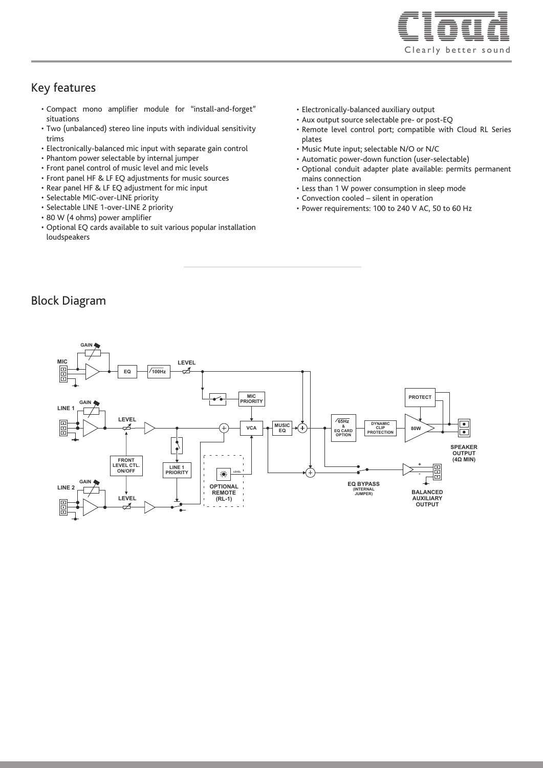

#### Key features

- Compact mono amplifier module for "install-and-forget" situations
- Two (unbalanced) stereo line inputs with individual sensitivity trims
- Electronically-balanced mic input with separate gain control
- Phantom power selectable by internal jumper
- Front panel control of music level and mic levels
- Front panel HF & LF EQ adjustments for music sources
- Rear panel HF & LF EQ adjustment for mic input
- Selectable MIC-over-LINE priority
- Selectable LINE 1-over-LINE 2 priority
- 80 W (4 ohms) power amplifier
- Optional EQ cards available to suit various popular installation loudspeakers
- Electronically-balanced auxiliary output
- Aux output source selectable pre- or post-EQ
- Remote level control port; compatible with Cloud RL Series plates
- Music Mute input; selectable N/O or N/C
- Automatic power-down function (user-selectable)
- Optional conduit adapter plate available: permits permanent mains connection
- Less than 1 W power consumption in sleep mode
- Convection cooled silent in operation
- Power requirements: 100 to 240 V AC, 50 to 60 Hz

#### Block Diagram

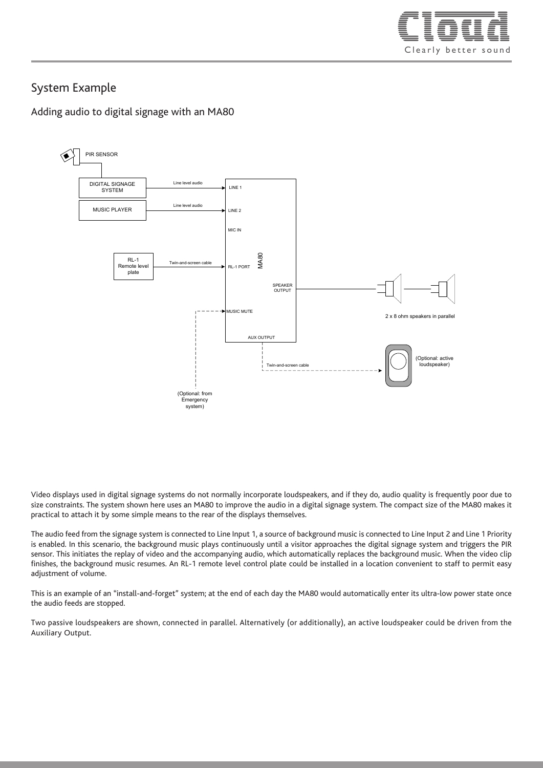

### System Example

Adding audio to digital signage with an MA80



Video displays used in digital signage systems do not normally incorporate loudspeakers, and if they do, audio quality is frequently poor due to size constraints. The system shown here uses an MA80 to improve the audio in a digital signage system. The compact size of the MA80 makes it practical to attach it by some simple means to the rear of the displays themselves.

The audio feed from the signage system is connected to Line Input 1, a source of background music is connected to Line Input 2 and Line 1 Priority is enabled. In this scenario, the background music plays continuously until a visitor approaches the digital signage system and triggers the PIR sensor. This initiates the replay of video and the accompanying audio, which automatically replaces the background music. When the video clip finishes, the background music resumes. An RL-1 remote level control plate could be installed in a location convenient to staff to permit easy adjustment of volume.

This is an example of an "install-and-forget" system; at the end of each day the MA80 would automatically enter its ultra-low power state once the audio feeds are stopped.

Two passive loudspeakers are shown, connected in parallel. Alternatively (or additionally), an active loudspeaker could be driven from the Auxiliary Output.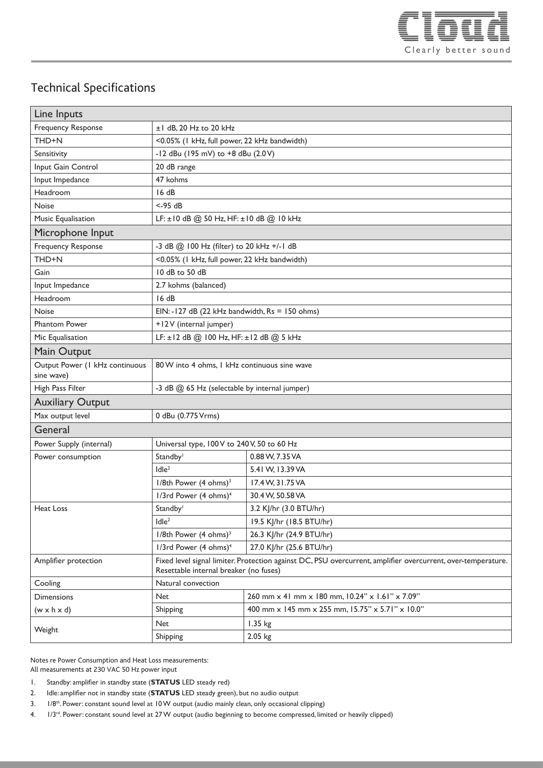

# Technical Specifications

| Line Inputs                                  |                                                                                                                                                        |                                                  |
|----------------------------------------------|--------------------------------------------------------------------------------------------------------------------------------------------------------|--------------------------------------------------|
| <b>Frequency Response</b>                    | ±1 dB, 20 Hz to 20 kHz                                                                                                                                 |                                                  |
| THD+N                                        | <0.05% (I kHz, full power, 22 kHz bandwidth)                                                                                                           |                                                  |
| Sensitivity                                  | -12 dBu (195 mV) to +8 dBu (2.0V)                                                                                                                      |                                                  |
| Input Gain Control                           | 20 dB range                                                                                                                                            |                                                  |
| Input Impedance                              | 47 kohms                                                                                                                                               |                                                  |
| Headroom                                     | 16dB                                                                                                                                                   |                                                  |
| Noise                                        | $< -95$ dB                                                                                                                                             |                                                  |
| Music Equalisation                           | LF: $\pm$ 10 dB @ 50 Hz, HF: $\pm$ 10 dB @ 10 kHz                                                                                                      |                                                  |
| Microphone Input                             |                                                                                                                                                        |                                                  |
| Frequency Response                           | -3 dB @ 100 Hz (filter) to 20 kHz +/-1 dB                                                                                                              |                                                  |
| THD+N                                        | <0.05% (I kHz, full power, 22 kHz bandwidth)                                                                                                           |                                                  |
| Gain                                         | 10 dB to 50 dB                                                                                                                                         |                                                  |
| Input Impedance                              | 2.7 kohms (balanced)                                                                                                                                   |                                                  |
| Headroom                                     | 16dB                                                                                                                                                   |                                                  |
| <b>Noise</b>                                 | EIN: -127 dB (22 kHz bandwidth, $Rs = 150$ ohms)                                                                                                       |                                                  |
| <b>Phantom Power</b>                         | +12V (internal jumper)                                                                                                                                 |                                                  |
| Mic Equalisation                             | LF: ±12 dB @ 100 Hz, HF: ±12 dB @ 5 kHz                                                                                                                |                                                  |
| Main Output                                  |                                                                                                                                                        |                                                  |
| Output Power (I kHz continuous<br>sine wave) | 80 W into 4 ohms. I kHz continuous sine wave                                                                                                           |                                                  |
| High Pass Filter                             | -3 dB @ 65 Hz (selectable by internal jumper)                                                                                                          |                                                  |
| <b>Auxiliary Output</b>                      |                                                                                                                                                        |                                                  |
| Max output level                             | 0 dBu (0.775 Vrms)                                                                                                                                     |                                                  |
| General                                      |                                                                                                                                                        |                                                  |
| Power Supply (internal)                      | Universal type, 100 V to 240 V, 50 to 60 Hz                                                                                                            |                                                  |
| Power consumption                            | Standby <sup>1</sup>                                                                                                                                   | 0.88 W, 7.35 VA                                  |
|                                              | Idle <sup>2</sup>                                                                                                                                      | 5.41 W, 13.39 VA                                 |
|                                              | 1/8th Power (4 ohms) <sup>3</sup>                                                                                                                      | 17.4 W, 31.75 VA                                 |
|                                              | 1/3rd Power (4 ohms) <sup>4</sup>                                                                                                                      | 30.4 W, 50.58 VA                                 |
| Heat Loss                                    | Standby <sup>1</sup>                                                                                                                                   | 3.2 KJ/hr (3.0 BTU/hr)                           |
|                                              | Idle <sup>2</sup>                                                                                                                                      | 19.5 KJ/hr (18.5 BTU/hr)                         |
|                                              | $1/8$ th Power (4 ohms) <sup>3</sup>                                                                                                                   | 26.3 KJ/hr (24.9 BTU/hr)                         |
|                                              | 1/3rd Power (4 ohms) <sup>4</sup>                                                                                                                      | 27.0 KJ/hr (25.6 BTU/hr)                         |
| Amplifier protection                         | Fixed level signal limiter. Protection against DC, PSU overcurrent, amplifier overcurrent, over-temperature.<br>Resettable internal breaker (no fuses) |                                                  |
| Cooling                                      | Natural convection                                                                                                                                     |                                                  |
| <b>Dimensions</b>                            | Net                                                                                                                                                    | 260 mm x 41 mm x 180 mm, 10.24" x 1.61" x 7.09"  |
| $(w \times h \times d)$                      | Shipping                                                                                                                                               | 400 mm x 145 mm x 255 mm, 15.75" x 5.71" x 10.0" |
| Weight                                       | Net                                                                                                                                                    | 1.35 kg                                          |
|                                              | Shipping                                                                                                                                               | 2.05 kg                                          |

Notes re Power Consumption and Heat Loss measurements: All measurements at 230 VAC 50 Hz power input

- 1. Standby: amplifier in standby state (**STATUS** LED steady red)
- 2. Idle: amplifier not in standby state (**STATUS** LED steady green), but no audio output
- 3. 1/8<sup>th</sup>. Power: constant sound level at 10 W output (audio mainly clean, only occasional clipping)
- 4. 1/3<sup>rd</sup>. Power: constant sound level at 27 W output (audio beginning to become compressed, limited or heavily clipped)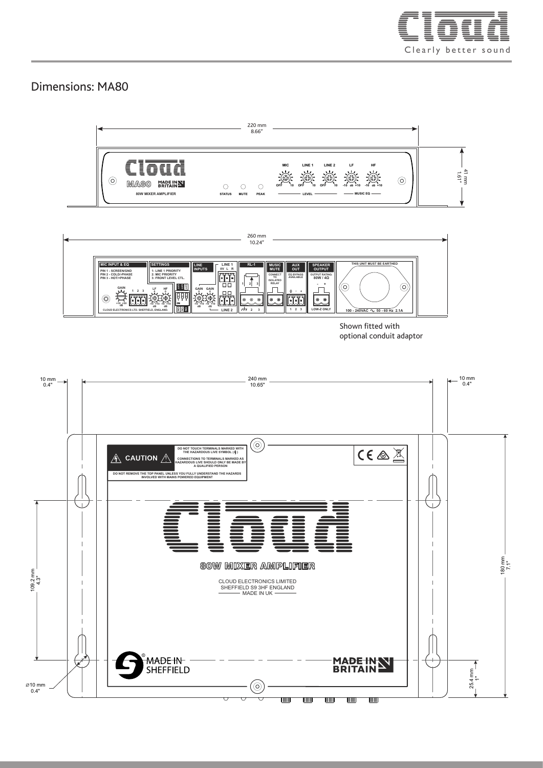

### Dimensions: MA80





Shown fitted with optional conduit adaptor

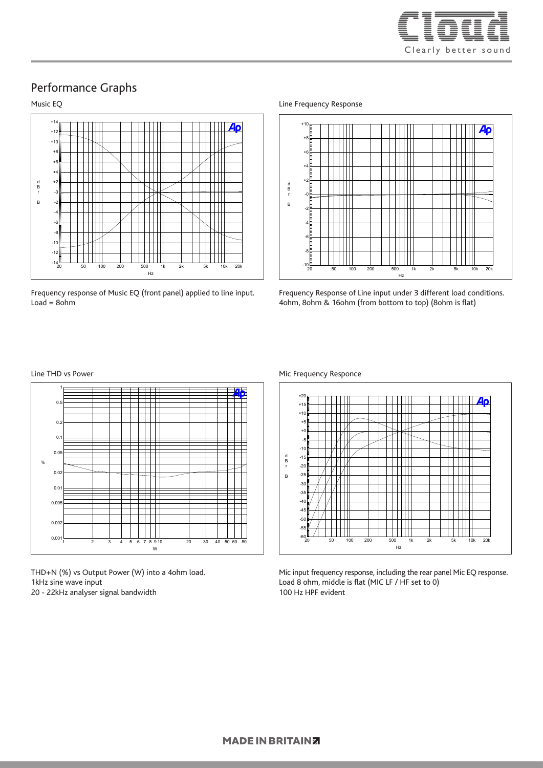

#### Performance Graphs

#### Audio Precision 08/09/18 13:14:22 Music EQ



Frequency response of Music EQ (front panel) applied to line input.  $\textsf{Load} = \textsf{8ohm}$ 3 1 Black Solid 1 Anlr.Ample Left 1 Anlr.Ample Left 1 Anlr.Ample Left 1 Anlr.Ample Left 1 Anlr.Ample Left 1 An

Line Frequency Response



Frequency Response of Line input under 3 different load conditions. 4ohm, 8ohm & 16ohm (from bottom to top) (8ohm is flat)

#### Line THD vs Power



THD+N (%) vs Output Power (W) into a 4ohm load. 1kHz sine wave input 20 - 22kHz analyser signal bandwidth



Mic input frequency response, including the rear panel Mic EQ response. Load 8 ohm, middle is flat (MIC LF / HF set to 0) 100 Hz HPF evident